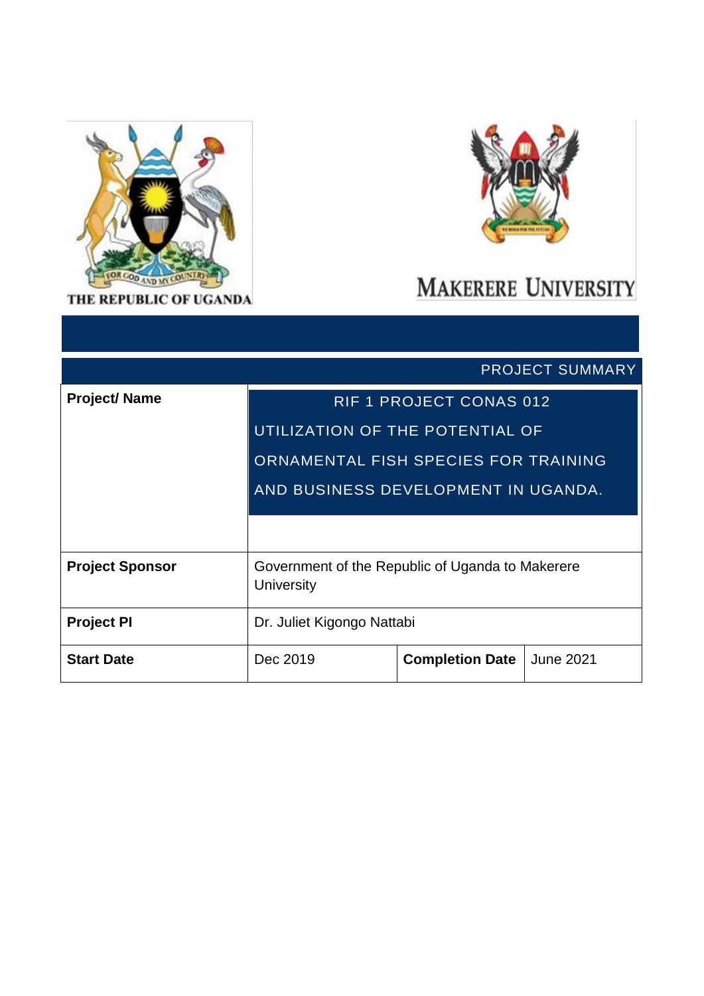

THE REPUBLIC OF UGANDA



# **MAKERERE UNIVERSITY**

|                        | <b>PROJECT SUMMARY</b>                                                |                                |                  |  |
|------------------------|-----------------------------------------------------------------------|--------------------------------|------------------|--|
| <b>Project/Name</b>    |                                                                       | <b>RIF 1 PROJECT CONAS 012</b> |                  |  |
|                        | UTILIZATION OF THE POTENTIAL OF                                       |                                |                  |  |
|                        | ORNAMENTAL FISH SPECIES FOR TRAINING                                  |                                |                  |  |
|                        | AND BUSINESS DEVELOPMENT IN UGANDA.                                   |                                |                  |  |
|                        |                                                                       |                                |                  |  |
| <b>Project Sponsor</b> | Government of the Republic of Uganda to Makerere<br><b>University</b> |                                |                  |  |
| <b>Project PI</b>      | Dr. Juliet Kigongo Nattabi                                            |                                |                  |  |
| <b>Start Date</b>      | Dec 2019                                                              | <b>Completion Date</b>         | <b>June 2021</b> |  |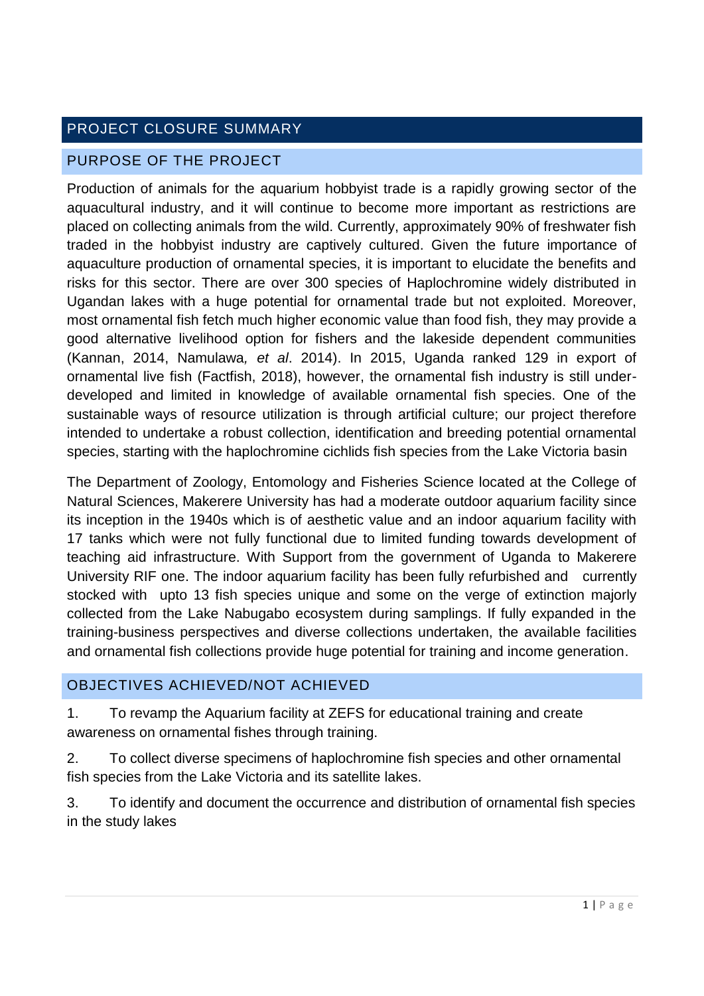## PROJECT CLOSURE SUMMARY

#### PURPOSE OF THE PROJECT

Production of animals for the aquarium hobbyist trade is a rapidly growing sector of the aquacultural industry, and it will continue to become more important as restrictions are placed on collecting animals from the wild. Currently, approximately 90% of freshwater fish traded in the hobbyist industry are captively cultured. Given the future importance of aquaculture production of ornamental species, it is important to elucidate the benefits and risks for this sector. There are over 300 species of Haplochromine widely distributed in Ugandan lakes with a huge potential for ornamental trade but not exploited. Moreover, most ornamental fish fetch much higher economic value than food fish, they may provide a good alternative livelihood option for fishers and the lakeside dependent communities (Kannan, 2014, Namulawa*, et al*. 2014). In 2015, Uganda ranked 129 in export of ornamental live fish (Factfish, 2018), however, the ornamental fish industry is still underdeveloped and limited in knowledge of available ornamental fish species. One of the sustainable ways of resource utilization is through artificial culture; our project therefore intended to undertake a robust collection, identification and breeding potential ornamental species, starting with the haplochromine cichlids fish species from the Lake Victoria basin

The Department of Zoology, Entomology and Fisheries Science located at the College of Natural Sciences, Makerere University has had a moderate outdoor aquarium facility since its inception in the 1940s which is of aesthetic value and an indoor aquarium facility with 17 tanks which were not fully functional due to limited funding towards development of teaching aid infrastructure. With Support from the government of Uganda to Makerere University RIF one. The indoor aquarium facility has been fully refurbished and currently stocked with upto 13 fish species unique and some on the verge of extinction majorly collected from the Lake Nabugabo ecosystem during samplings. If fully expanded in the training-business perspectives and diverse collections undertaken, the available facilities and ornamental fish collections provide huge potential for training and income generation.

#### OBJECTIVES ACHIEVED/NOT ACHIEVED

1. To revamp the Aquarium facility at ZEFS for educational training and create awareness on ornamental fishes through training.

2. To collect diverse specimens of haplochromine fish species and other ornamental fish species from the Lake Victoria and its satellite lakes.

3. To identify and document the occurrence and distribution of ornamental fish species in the study lakes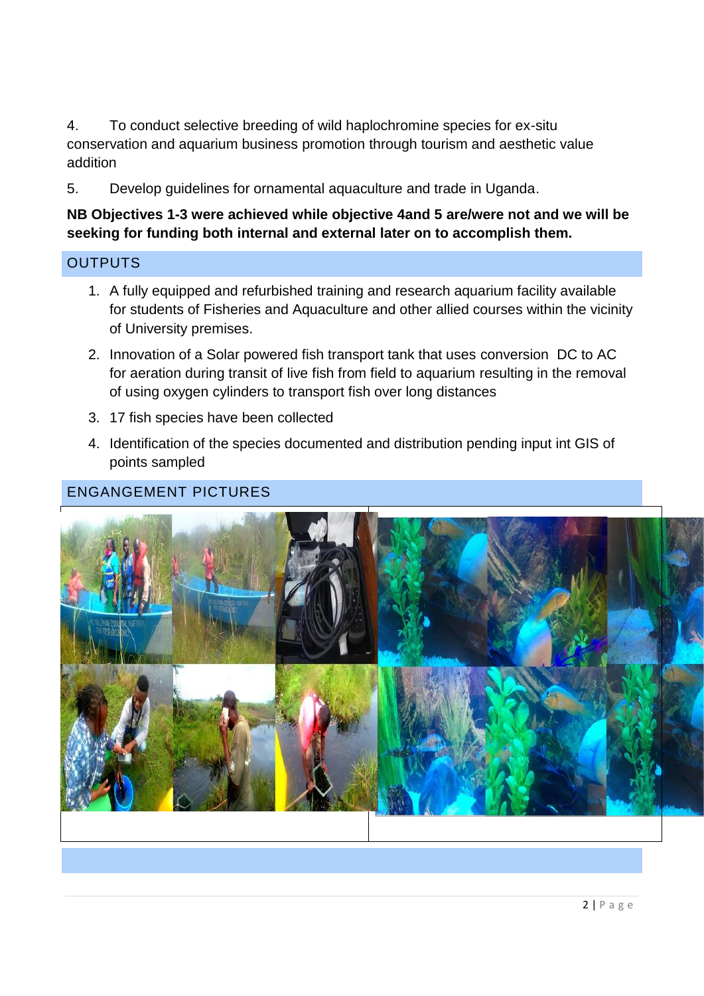4. To conduct selective breeding of wild haplochromine species for ex-situ conservation and aquarium business promotion through tourism and aesthetic value addition

5. Develop guidelines for ornamental aquaculture and trade in Uganda.

#### **NB Objectives 1-3 were achieved while objective 4and 5 are/were not and we will be seeking for funding both internal and external later on to accomplish them.**

#### **OUTPUTS**

- 1. A fully equipped and refurbished training and research aquarium facility available for students of Fisheries and Aquaculture and other allied courses within the vicinity of University premises.
- 2. Innovation of a Solar powered fish transport tank that uses conversion DC to AC for aeration during transit of live fish from field to aquarium resulting in the removal of using oxygen cylinders to transport fish over long distances
- 3. 17 fish species have been collected
- 4. Identification of the species documented and distribution pending input int GIS of points sampled

### ENGANGEMENT PICTURES